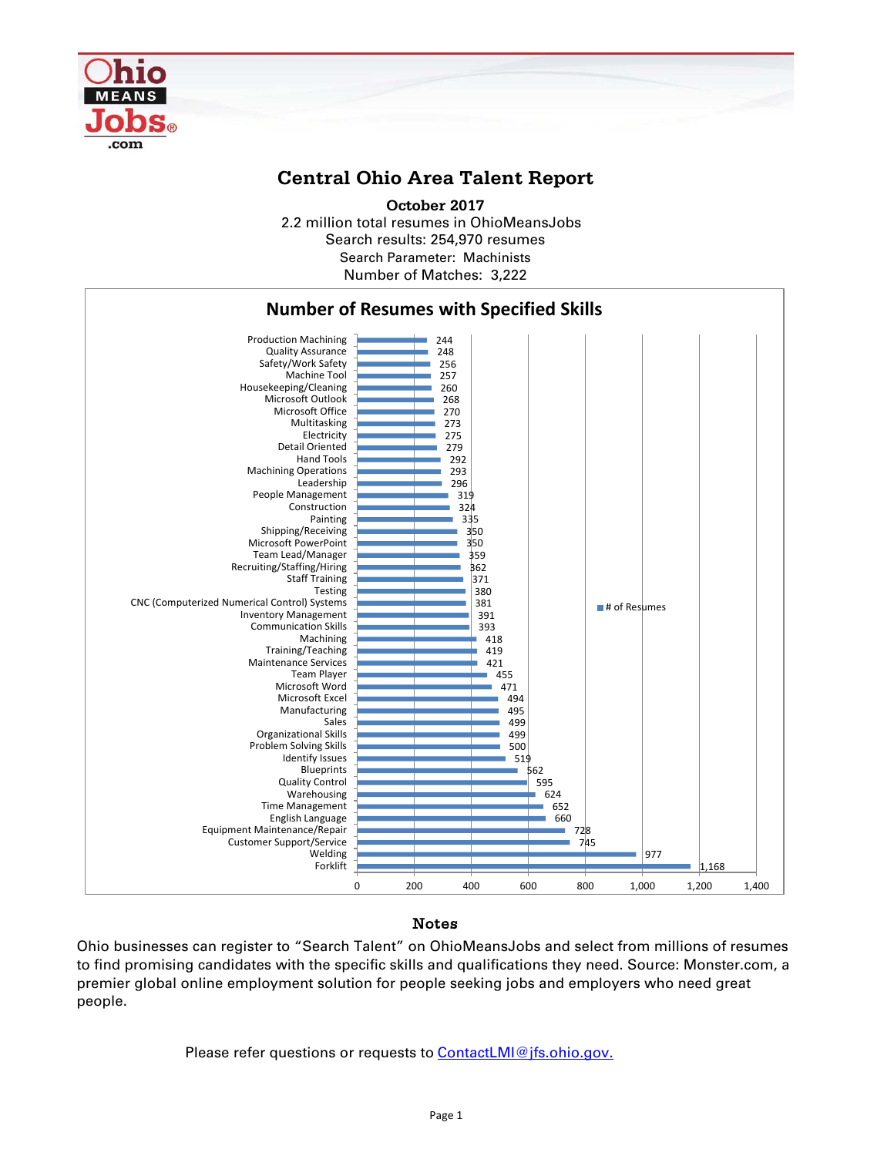

## **Central Ohio Area Talent Report**

2.2 million total resumes in OhioMeansJobs Search results: 254,970 resumes Number of Matches: 3,222 **October 2017** Search Parameter: Machinists



## Notes

Ohio businesses can register to "Search Talent" on OhioMeansJobs and select from millions of resumes to find promising candidates with the specific skills and qualifications they need. Source: Monster.com, a premier global online employment solution for people seeking jobs and employers who need great people.

Please refer questions or requests to [ContactLMI@jfs.ohio.gov.](mailto:ContactLMI@jfs.ohio.gov.)